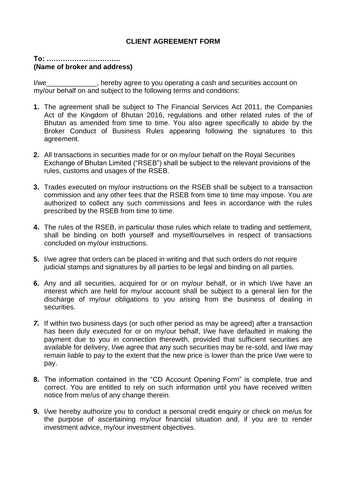## **CLIENT AGREEMENT FORM**

## **To: ………………………….. (Name of broker and address)**

I/we\_\_\_\_\_\_\_\_\_\_\_\_\_, hereby agree to you operating a cash and securities account on my/our behalf on and subject to the following terms and conditions:

- **1.** The agreement shall be subject to The Financial Services Act 2011, the Companies Act of the Kingdom of Bhutan 2016, regulations and other related rules of the of Bhutan as amended from time to time. You also agree specifically to abide by the Broker Conduct of Business Rules appearing following the signatures to this agreement.
- **2.** All transactions in securities made for or on my/our behalf on the Royal Securities Exchange of Bhutan Limited ("RSEB") shall be subject to the relevant provisions of the rules, customs and usages of the RSEB.
- **3.** Trades executed on my/our instructions on the RSEB shall be subject to a transaction commission and any other fees that the RSEB from time to time may impose. You are authorized to collect any such commissions and fees in accordance with the rules prescribed by the RSEB from time to time.
- **4.** The rules of the RSEB, in particular those rules which relate to trading and settlement, shall be binding on both yourself and myself/ourselves in respect of transactions concluded on my/our instructions.
- **5.** I/we agree that orders can be placed in writing and that such orders do not require judicial stamps and signatures by all parties to be legal and binding on all parties.
- **6.** Any and all securities, acquired for or on my/our behalf, or in which I/we have an interest which are held for my/our account shall be subject to a general lien for the discharge of my/our obligations to you arising from the business of dealing in securities.
- *7.* If within two business days (or such other period as may be agreed) after a transaction has been duly executed for or on my/our behalf, I/we have defaulted in making the payment due to you in connection therewith, provided that sufficient securities are available for delivery, I/we agree that any such securities may be re-sold, and I/we may remain liable to pay to the extent that the new price is lower than the price I/we were to pay.
- **8.** The information contained in the "CD Account Opening Form" is complete, true and correct. You are entitled to rely on such information until you have received written notice from me/us of any change therein.
- **9.** I/we hereby authorize you to conduct a personal credit enquiry or check on me/us for the purpose of ascertaining my/our financial situation and, if you are to render investment advice, my/our investment objectives.